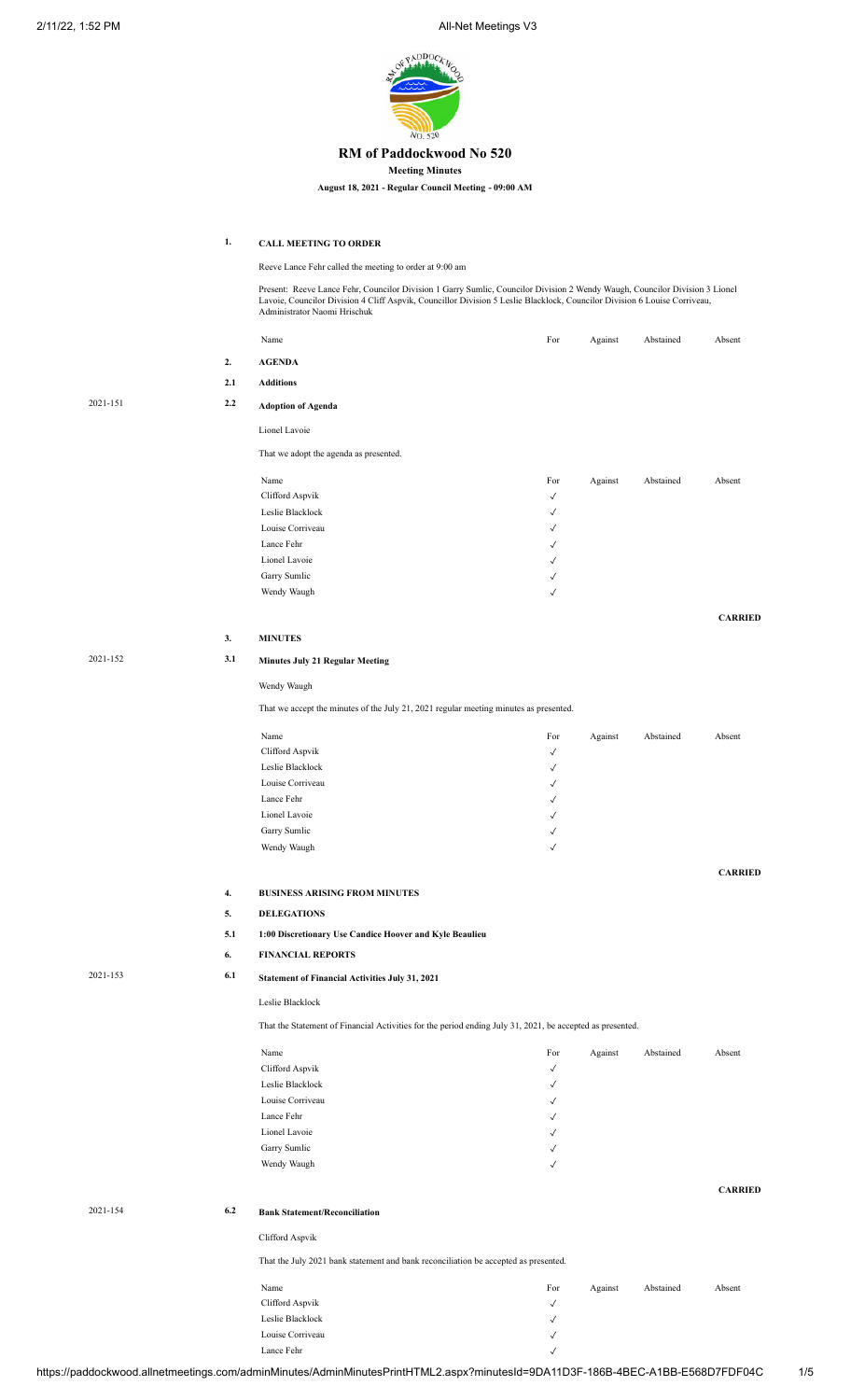2/11/22, 1:52 PM **All-Net Meetings V3** 



### **RM of Paddockwood No 520**

**Meeting Minutes**

**August 18, 2021 - Regular Council Meeting - 09:00 AM**

**1. CALL MEETING TO ORDER**

Reeve Lance Fehr called the meeting to order at 9:00 am

Present: Reeve Lance Fehr, Councilor Division 1 Garry Sumlic, Councilor Division 2 Wendy Waugh, Councilor Division 3 Lionel Lavoie, Councilor Division 4 Cliff Aspvik, Councillor Division 5 Leslie Blacklock, Councilor Division 6 Louise Corriveau, Administrator Naomi Hrischuk

|          |     | Name                                                                                                      | For          | Against | Abstained | Absent         |
|----------|-----|-----------------------------------------------------------------------------------------------------------|--------------|---------|-----------|----------------|
|          | 2.  | <b>AGENDA</b>                                                                                             |              |         |           |                |
|          | 2.1 | <b>Additions</b>                                                                                          |              |         |           |                |
|          |     |                                                                                                           |              |         |           |                |
| 2021-151 | 2.2 | <b>Adoption of Agenda</b>                                                                                 |              |         |           |                |
|          |     | Lionel Lavoie                                                                                             |              |         |           |                |
|          |     | That we adopt the agenda as presented.                                                                    |              |         |           |                |
|          |     |                                                                                                           |              |         |           |                |
|          |     | Name                                                                                                      | For          | Against | Abstained | Absent         |
|          |     | Clifford Aspvik                                                                                           | $\checkmark$ |         |           |                |
|          |     | Leslie Blacklock                                                                                          | $\checkmark$ |         |           |                |
|          |     | Louise Corriveau                                                                                          | √            |         |           |                |
|          |     | Lance Fehr                                                                                                | $\checkmark$ |         |           |                |
|          |     | Lionel Lavoie                                                                                             | $\checkmark$ |         |           |                |
|          |     | Garry Sumlic                                                                                              | $\checkmark$ |         |           |                |
|          |     | Wendy Waugh                                                                                               | $\checkmark$ |         |           |                |
|          |     |                                                                                                           |              |         |           | <b>CARRIED</b> |
|          | 3.  | <b>MINUTES</b>                                                                                            |              |         |           |                |
| 2021-152 | 3.1 | <b>Minutes July 21 Regular Meeting</b>                                                                    |              |         |           |                |
|          |     | Wendy Waugh                                                                                               |              |         |           |                |
|          |     | That we accept the minutes of the July 21, 2021 regular meeting minutes as presented.                     |              |         |           |                |
|          |     |                                                                                                           |              |         |           |                |
|          |     | Name                                                                                                      | For          | Against | Abstained | Absent         |
|          |     | Clifford Aspvik                                                                                           | √            |         |           |                |
|          |     | Leslie Blacklock                                                                                          | $\checkmark$ |         |           |                |
|          |     | Louise Corriveau                                                                                          | √            |         |           |                |
|          |     | Lance Fehr                                                                                                | $\checkmark$ |         |           |                |
|          |     | Lionel Lavoie                                                                                             | $\checkmark$ |         |           |                |
|          |     | Garry Sumlic                                                                                              | √            |         |           |                |
|          |     | Wendy Waugh                                                                                               | $\checkmark$ |         |           |                |
|          |     |                                                                                                           |              |         |           | <b>CARRIED</b> |
|          | 4.  | <b>BUSINESS ARISING FROM MINUTES</b>                                                                      |              |         |           |                |
|          | 5.  | <b>DELEGATIONS</b>                                                                                        |              |         |           |                |
|          | 5.1 | 1:00 Discretionary Use Candice Hoover and Kyle Beaulieu                                                   |              |         |           |                |
|          | 6.  | <b>FINANCIAL REPORTS</b>                                                                                  |              |         |           |                |
| 2021-153 | 6.1 | Statement of Financial Activities July 31, 2021                                                           |              |         |           |                |
|          |     | Leslie Blacklock                                                                                          |              |         |           |                |
|          |     | That the Statement of Financial Activities for the period ending July 31, 2021, be accepted as presented. |              |         |           |                |
|          |     | Name                                                                                                      | For          |         | Abstained | Absent         |
|          |     | Clifford Aspvik                                                                                           | $\checkmark$ | Against |           |                |
|          |     | Leslie Blacklock                                                                                          | $\checkmark$ |         |           |                |
|          |     | Louise Corriveau                                                                                          | $\checkmark$ |         |           |                |
|          |     | Lance Fehr                                                                                                | $\checkmark$ |         |           |                |
|          |     | Lionel Lavoie                                                                                             | $\checkmark$ |         |           |                |
|          |     | Garry Sumlic                                                                                              | $\checkmark$ |         |           |                |
|          |     | Wendy Waugh                                                                                               | $\checkmark$ |         |           |                |
|          |     |                                                                                                           |              |         |           |                |
|          |     |                                                                                                           |              |         |           | <b>CARRIED</b> |
| 2021-154 | 6.2 | <b>Bank Statement/Reconciliation</b>                                                                      |              |         |           |                |
|          |     | Clifford Aspvik                                                                                           |              |         |           |                |
|          |     | That the July 2021 bank statement and bank reconciliation be accepted as presented.                       |              |         |           |                |
|          |     | Name                                                                                                      | For          | Against | Abstained | Absent         |
|          |     | Clifford Aspvik                                                                                           | $\checkmark$ |         |           |                |
|          |     | Leslie Blacklock                                                                                          | $\checkmark$ |         |           |                |
|          |     | Louise Corriveau                                                                                          | $\checkmark$ |         |           |                |

Lance Fehr  $\sqrt{ }$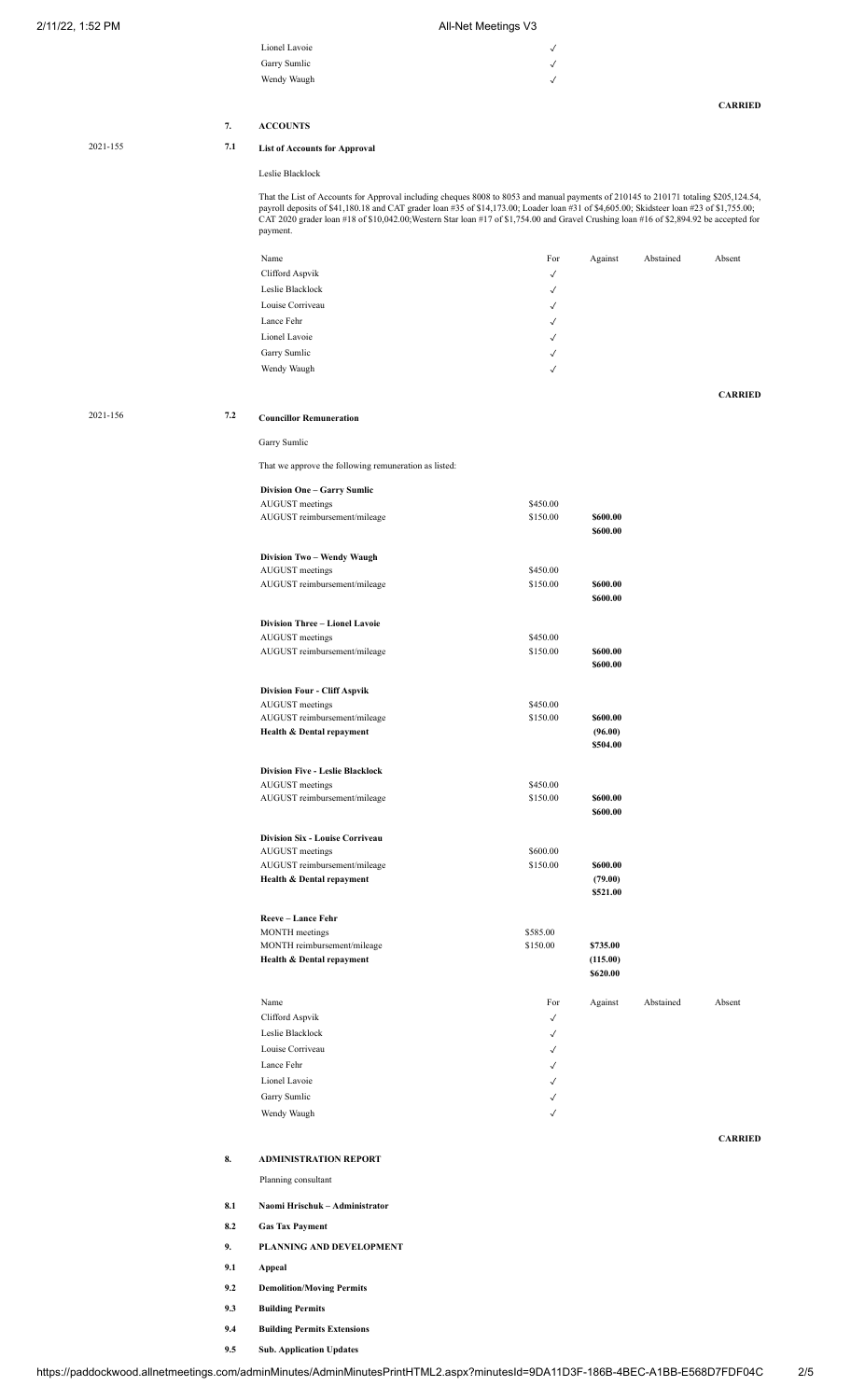#### 2/11/22, 1:52 PM **All-Net Meetings V3**

| Lionel Lavoie | $\checkmark$ |
|---------------|--------------|
| Garry Sumlic  | $\checkmark$ |
| Wendy Waugh   | $\sqrt{ }$   |
|               |              |
|               |              |

**CARRIED**

# **7. ACCOUNTS**

## 2021-155 **7.1 List of Accounts for Approval**

#### Leslie Blacklock

That the List of Accounts for Approval including cheques 8008 to 8053 and manual payments of 210145 to 210171 totaling \$205,124.54, payroll deposits of \$41,180.18 and CAT grader loan #35 of \$14,173.00; Loader loan #31 of \$4,605.00; Skidsteer loan #23 of \$1,755.00; CAT 2020 grader loan #18 of \$10,042.00;Western Star loan #17 of \$1,754.00 and Gravel Crushing loan #16 of \$2,894.92 be accepted for payment.

|          |     | Name                                                       | For          | Against              | Abstained | Absent         |
|----------|-----|------------------------------------------------------------|--------------|----------------------|-----------|----------------|
|          |     | Clifford Aspvik                                            | $\checkmark$ |                      |           |                |
|          |     | Leslie Blacklock                                           |              |                      |           |                |
|          |     |                                                            | $\checkmark$ |                      |           |                |
|          |     | Louise Corriveau                                           | $\checkmark$ |                      |           |                |
|          |     | Lance Fehr                                                 | $\checkmark$ |                      |           |                |
|          |     | Lionel Lavoie                                              | $\checkmark$ |                      |           |                |
|          |     | Garry Sumlic                                               | $\checkmark$ |                      |           |                |
|          |     | Wendy Waugh                                                | $\checkmark$ |                      |           |                |
|          |     |                                                            |              |                      |           |                |
|          |     |                                                            |              |                      |           | <b>CARRIED</b> |
| 2021-156 | 7.2 | <b>Councillor Remuneration</b>                             |              |                      |           |                |
|          |     |                                                            |              |                      |           |                |
|          |     | Garry Sumlic                                               |              |                      |           |                |
|          |     | That we approve the following remuneration as listed:      |              |                      |           |                |
|          |     |                                                            |              |                      |           |                |
|          |     | <b>Division One - Garry Sumlic</b>                         |              |                      |           |                |
|          |     | AUGUST meetings                                            | \$450.00     |                      |           |                |
|          |     | AUGUST reimbursement/mileage                               | \$150.00     | \$600.00             |           |                |
|          |     |                                                            |              | \$600.00             |           |                |
|          |     | Division Two - Wendy Waugh                                 |              |                      |           |                |
|          |     | AUGUST meetings                                            | \$450.00     |                      |           |                |
|          |     | AUGUST reimbursement/mileage                               | \$150.00     | \$600.00             |           |                |
|          |     |                                                            |              | \$600.00             |           |                |
|          |     |                                                            |              |                      |           |                |
|          |     | Division Three - Lionel Lavoie                             |              |                      |           |                |
|          |     | <b>AUGUST</b> meetings                                     | \$450.00     |                      |           |                |
|          |     | AUGUST reimbursement/mileage                               | \$150.00     | \$600.00<br>\$600.00 |           |                |
|          |     |                                                            |              |                      |           |                |
|          |     | <b>Division Four - Cliff Aspvik</b>                        |              |                      |           |                |
|          |     | <b>AUGUST</b> meetings                                     | \$450.00     |                      |           |                |
|          |     | AUGUST reimbursement/mileage                               | \$150.00     | \$600.00             |           |                |
|          |     | Health & Dental repayment                                  |              | (96.00)              |           |                |
|          |     |                                                            |              | \$504.00             |           |                |
|          |     |                                                            |              |                      |           |                |
|          |     | <b>Division Five - Leslie Blacklock</b><br>AUGUST meetings | \$450.00     |                      |           |                |
|          |     | AUGUST reimbursement/mileage                               | \$150.00     | \$600.00             |           |                |
|          |     |                                                            |              | \$600.00             |           |                |
|          |     |                                                            |              |                      |           |                |
|          |     | Division Six - Louise Corriveau                            |              |                      |           |                |
|          |     | <b>AUGUST</b> meetings                                     | \$600.00     |                      |           |                |
|          |     | AUGUST reimbursement/mileage                               | \$150.00     | \$600.00             |           |                |
|          |     | Health & Dental repayment                                  |              | (79.00)              |           |                |
|          |     |                                                            |              | \$521.00             |           |                |
|          |     | Reeve - Lance Fehr                                         |              |                      |           |                |
|          |     | <b>MONTH</b> meetings                                      | \$585.00     |                      |           |                |
|          |     | MONTH reimbursement/mileage                                | \$150.00     | \$735.00             |           |                |
|          |     | Health & Dental repayment                                  |              | (115.00)             |           |                |
|          |     |                                                            |              | \$620.00             |           |                |
|          |     |                                                            |              |                      |           |                |
|          |     | Name                                                       | For          | Against              | Abstained | Absent         |
|          |     | Clifford Aspvik                                            | $\checkmark$ |                      |           |                |
|          |     | Leslie Blacklock                                           | $\checkmark$ |                      |           |                |
|          |     | Louise Corriveau                                           | $\checkmark$ |                      |           |                |
|          |     | Lance Fehr                                                 | $\checkmark$ |                      |           |                |
|          |     | Lionel Lavoie                                              | $\checkmark$ |                      |           |                |
|          |     | Garry Sumlic                                               | $\checkmark$ |                      |           |                |
|          |     | Wendy Waugh                                                | $\checkmark$ |                      |           |                |
|          |     |                                                            |              |                      |           |                |
|          |     |                                                            |              |                      |           | <b>CARRIED</b> |
|          | 8.  | ADMINISTRATION REPORT                                      |              |                      |           |                |
|          |     | Planning consultant                                        |              |                      |           |                |
|          |     |                                                            |              |                      |           |                |

**8.1 Naomi Hrischuk – Administrator**

**8.2 Gas Tax Payment**

**9. PLANNING AND DEVELOPMENT**

**9.1 Appeal**

**9.2 Demolition/Moving Permits**

**9.3 Building Permits**

**9.4 Building Permits Extensions**

**9.5 Sub. Application Updates**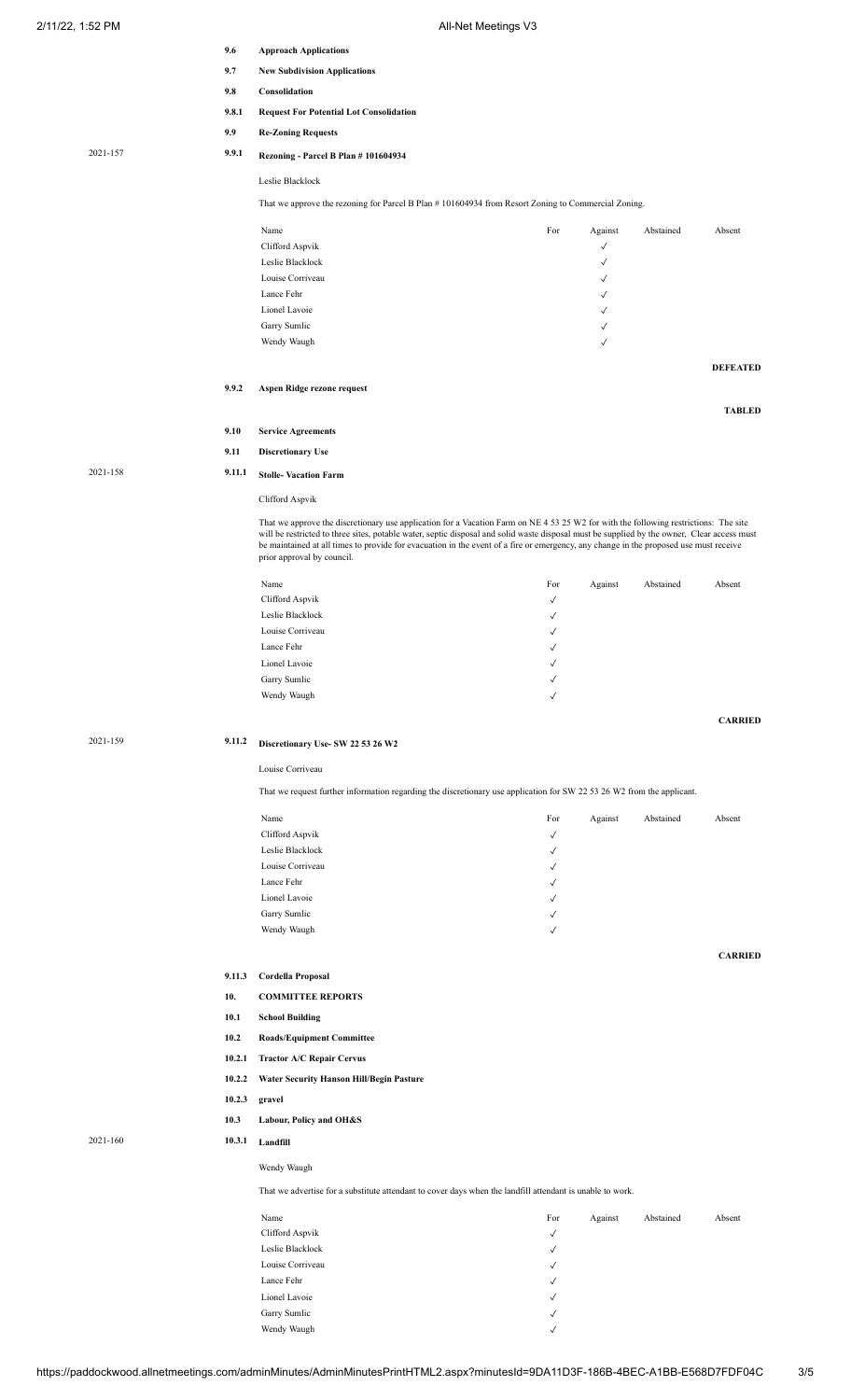| 2/11/22, 1:52 PM | All-Net Meetings V3 |
|------------------|---------------------|
|                  |                     |

|          | 9.6    | <b>Approach Applications</b>                                                                                                                                                                                                                                                                                                                                                                                                 |                              |                   |           |                 |
|----------|--------|------------------------------------------------------------------------------------------------------------------------------------------------------------------------------------------------------------------------------------------------------------------------------------------------------------------------------------------------------------------------------------------------------------------------------|------------------------------|-------------------|-----------|-----------------|
|          | 9.7    | <b>New Subdivision Applications</b>                                                                                                                                                                                                                                                                                                                                                                                          |                              |                   |           |                 |
|          | 9.8    | Consolidation                                                                                                                                                                                                                                                                                                                                                                                                                |                              |                   |           |                 |
|          | 9.8.1  | <b>Request For Potential Lot Consolidation</b>                                                                                                                                                                                                                                                                                                                                                                               |                              |                   |           |                 |
|          | 9.9    | <b>Re-Zoning Requests</b>                                                                                                                                                                                                                                                                                                                                                                                                    |                              |                   |           |                 |
|          |        |                                                                                                                                                                                                                                                                                                                                                                                                                              |                              |                   |           |                 |
| 2021-157 | 9.9.1  | Rezoning - Parcel B Plan # 101604934<br>Leslie Blacklock                                                                                                                                                                                                                                                                                                                                                                     |                              |                   |           |                 |
|          |        |                                                                                                                                                                                                                                                                                                                                                                                                                              |                              |                   |           |                 |
|          |        | That we approve the rezoning for Parcel B Plan #101604934 from Resort Zoning to Commercial Zoning.                                                                                                                                                                                                                                                                                                                           |                              |                   |           |                 |
|          |        | Name                                                                                                                                                                                                                                                                                                                                                                                                                         | For                          | Against           | Abstained | Absent          |
|          |        | Clifford Aspvik                                                                                                                                                                                                                                                                                                                                                                                                              |                              | √                 |           |                 |
|          |        | Leslie Blacklock                                                                                                                                                                                                                                                                                                                                                                                                             |                              | √                 |           |                 |
|          |        | Louise Corriveau<br>Lance Fehr                                                                                                                                                                                                                                                                                                                                                                                               |                              | √<br>$\checkmark$ |           |                 |
|          |        | Lionel Lavoie                                                                                                                                                                                                                                                                                                                                                                                                                |                              | ✓                 |           |                 |
|          |        | Garry Sumlic                                                                                                                                                                                                                                                                                                                                                                                                                 |                              | $\checkmark$      |           |                 |
|          |        | Wendy Waugh                                                                                                                                                                                                                                                                                                                                                                                                                  |                              | $\checkmark$      |           |                 |
|          |        |                                                                                                                                                                                                                                                                                                                                                                                                                              |                              |                   |           | <b>DEFEATED</b> |
|          | 9.9.2  | Aspen Ridge rezone request                                                                                                                                                                                                                                                                                                                                                                                                   |                              |                   |           | <b>TABLED</b>   |
|          | 9.10   | <b>Service Agreements</b>                                                                                                                                                                                                                                                                                                                                                                                                    |                              |                   |           |                 |
|          | 9.11   | <b>Discretionary Use</b>                                                                                                                                                                                                                                                                                                                                                                                                     |                              |                   |           |                 |
| 2021-158 | 9.11.1 | <b>Stolle-Vacation Farm</b>                                                                                                                                                                                                                                                                                                                                                                                                  |                              |                   |           |                 |
|          |        |                                                                                                                                                                                                                                                                                                                                                                                                                              |                              |                   |           |                 |
|          |        | Clifford Aspvik                                                                                                                                                                                                                                                                                                                                                                                                              |                              |                   |           |                 |
|          |        | That we approve the discretionary use application for a Vacation Farm on NE 4 53 25 W2 for with the following restrictions: The site<br>will be restricted to three sites, potable water, septic disposal and solid waste disposal must be supplied by the owner, Clear access must<br>be maintained at all times to provide for evacuation in the event of a fire or emergency, any change in the proposed use must receive |                              |                   |           |                 |
|          |        | prior approval by council.                                                                                                                                                                                                                                                                                                                                                                                                   |                              |                   |           |                 |
|          |        | Name                                                                                                                                                                                                                                                                                                                                                                                                                         | For                          | Against           | Abstained | Absent          |
|          |        | Clifford Aspvik<br>Leslie Blacklock                                                                                                                                                                                                                                                                                                                                                                                          | $\checkmark$                 |                   |           |                 |
|          |        | Louise Corriveau                                                                                                                                                                                                                                                                                                                                                                                                             | √<br>$\checkmark$            |                   |           |                 |
|          |        | Lance Fehr                                                                                                                                                                                                                                                                                                                                                                                                                   | √                            |                   |           |                 |
|          |        | Lionel Lavoie                                                                                                                                                                                                                                                                                                                                                                                                                | ✓                            |                   |           |                 |
|          |        | Garry Sumlic                                                                                                                                                                                                                                                                                                                                                                                                                 | $\checkmark$                 |                   |           |                 |
|          |        | Wendy Waugh                                                                                                                                                                                                                                                                                                                                                                                                                  | √                            |                   |           |                 |
|          |        |                                                                                                                                                                                                                                                                                                                                                                                                                              |                              |                   |           | <b>CARRIED</b>  |
| 2021-159 | 9.11.2 | Discretionary Use- SW 22 53 26 W2                                                                                                                                                                                                                                                                                                                                                                                            |                              |                   |           |                 |
|          |        | Louise Corriveau                                                                                                                                                                                                                                                                                                                                                                                                             |                              |                   |           |                 |
|          |        | That we request further information regarding the discretionary use application for SW 22 53 26 W2 from the applicant.                                                                                                                                                                                                                                                                                                       |                              |                   |           |                 |
|          |        | Name                                                                                                                                                                                                                                                                                                                                                                                                                         | For                          | Against           | Abstained | Absent          |
|          |        | Clifford Aspvik                                                                                                                                                                                                                                                                                                                                                                                                              | √                            |                   |           |                 |
|          |        | Leslie Blacklock                                                                                                                                                                                                                                                                                                                                                                                                             | √                            |                   |           |                 |
|          |        | Louise Corriveau                                                                                                                                                                                                                                                                                                                                                                                                             | √                            |                   |           |                 |
|          |        | Lance Fehr                                                                                                                                                                                                                                                                                                                                                                                                                   | √                            |                   |           |                 |
|          |        | Lionel Lavoie                                                                                                                                                                                                                                                                                                                                                                                                                | ✓                            |                   |           |                 |
|          |        | Garry Sumlic<br>Wendy Waugh                                                                                                                                                                                                                                                                                                                                                                                                  | √<br>√                       |                   |           |                 |
|          |        |                                                                                                                                                                                                                                                                                                                                                                                                                              |                              |                   |           |                 |
|          | 9.11.3 | Cordella Proposal                                                                                                                                                                                                                                                                                                                                                                                                            |                              |                   |           | <b>CARRIED</b>  |
|          | 10.    | <b>COMMITTEE REPORTS</b>                                                                                                                                                                                                                                                                                                                                                                                                     |                              |                   |           |                 |
|          | 10.1   |                                                                                                                                                                                                                                                                                                                                                                                                                              |                              |                   |           |                 |
|          | 10.2   | <b>School Building</b><br><b>Roads/Equipment Committee</b>                                                                                                                                                                                                                                                                                                                                                                   |                              |                   |           |                 |
|          | 10.2.1 | <b>Tractor A/C Repair Cervus</b>                                                                                                                                                                                                                                                                                                                                                                                             |                              |                   |           |                 |
|          | 10.2.2 | <b>Water Security Hanson Hill/Begin Pasture</b>                                                                                                                                                                                                                                                                                                                                                                              |                              |                   |           |                 |
|          | 10.2.3 | gravel                                                                                                                                                                                                                                                                                                                                                                                                                       |                              |                   |           |                 |
|          | 10.3   | Labour, Policy and OH&S                                                                                                                                                                                                                                                                                                                                                                                                      |                              |                   |           |                 |
| 2021-160 | 10.3.1 | Landfill                                                                                                                                                                                                                                                                                                                                                                                                                     |                              |                   |           |                 |
|          |        | Wendy Waugh                                                                                                                                                                                                                                                                                                                                                                                                                  |                              |                   |           |                 |
|          |        | That we advertise for a substitute attendant to cover days when the landfill attendant is unable to work.                                                                                                                                                                                                                                                                                                                    |                              |                   |           |                 |
|          |        | Name                                                                                                                                                                                                                                                                                                                                                                                                                         | For                          | Against           | Abstained | Absent          |
|          |        | Clifford Aspvik                                                                                                                                                                                                                                                                                                                                                                                                              | √                            |                   |           |                 |
|          |        | Leslie Blacklock                                                                                                                                                                                                                                                                                                                                                                                                             | √                            |                   |           |                 |
|          |        | Louise Corriveau                                                                                                                                                                                                                                                                                                                                                                                                             | √                            |                   |           |                 |
|          |        | Lance Fehr<br>Lionel Lavoie                                                                                                                                                                                                                                                                                                                                                                                                  | $\checkmark$<br>$\checkmark$ |                   |           |                 |
|          |        | Garry Sumlic                                                                                                                                                                                                                                                                                                                                                                                                                 | $\checkmark$                 |                   |           |                 |
|          |        | Wendy Waugh                                                                                                                                                                                                                                                                                                                                                                                                                  | $\checkmark$                 |                   |           |                 |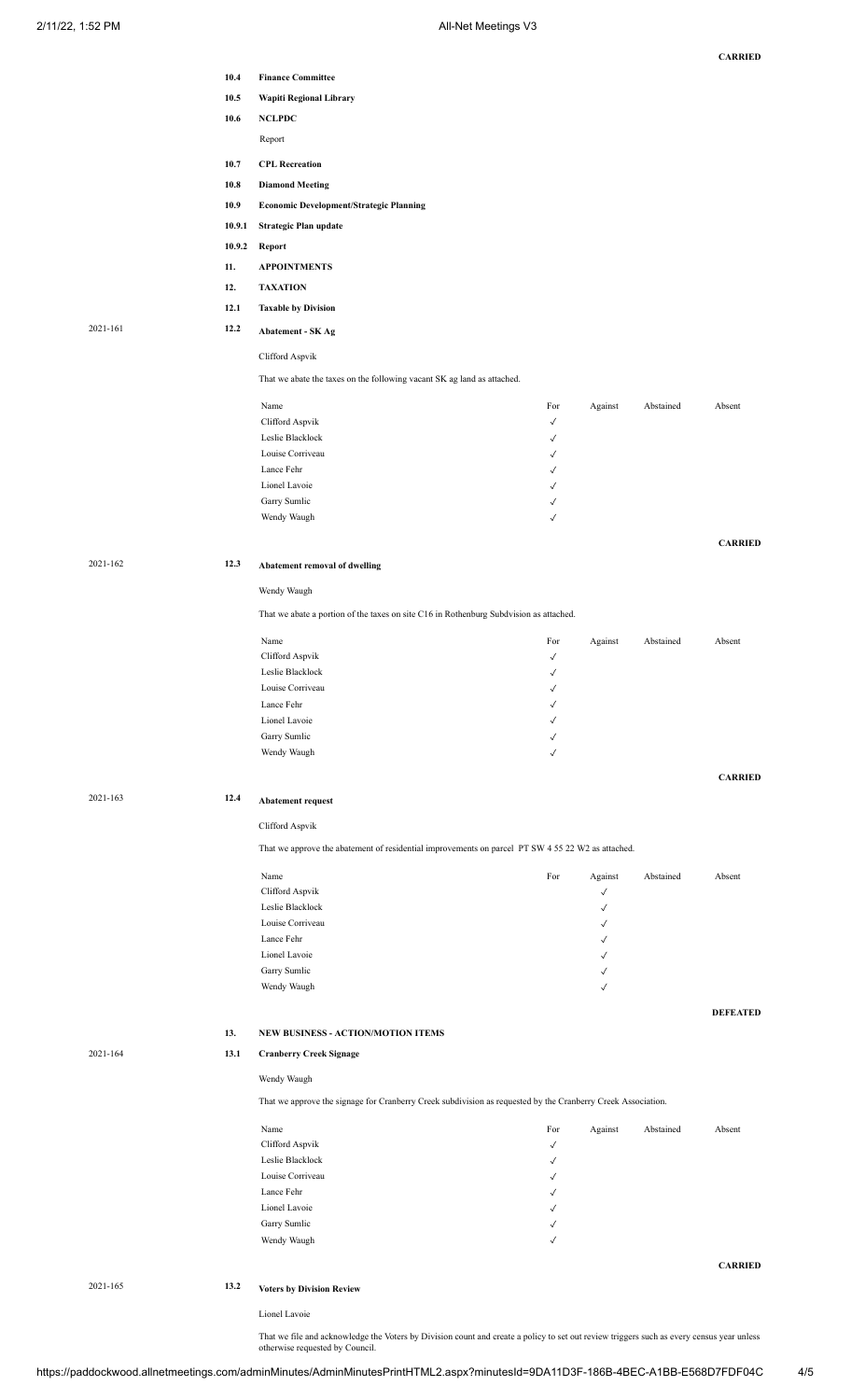|          |        |                                                                                                              |                              |                   |           | <b>CARRIED</b>  |
|----------|--------|--------------------------------------------------------------------------------------------------------------|------------------------------|-------------------|-----------|-----------------|
|          | 10.4   | <b>Finance Committee</b>                                                                                     |                              |                   |           |                 |
|          | 10.5   | Wapiti Regional Library                                                                                      |                              |                   |           |                 |
|          | 10.6   | <b>NCLPDC</b>                                                                                                |                              |                   |           |                 |
|          |        | Report                                                                                                       |                              |                   |           |                 |
|          |        |                                                                                                              |                              |                   |           |                 |
|          | 10.7   | <b>CPL Recreation</b>                                                                                        |                              |                   |           |                 |
|          | 10.8   | <b>Diamond Meeting</b>                                                                                       |                              |                   |           |                 |
|          | 10.9   | <b>Economic Development/Strategic Planning</b>                                                               |                              |                   |           |                 |
|          | 10.9.1 | Strategic Plan update                                                                                        |                              |                   |           |                 |
|          | 10.9.2 | Report                                                                                                       |                              |                   |           |                 |
|          | 11.    | <b>APPOINTMENTS</b>                                                                                          |                              |                   |           |                 |
|          | 12.    | <b>TAXATION</b>                                                                                              |                              |                   |           |                 |
|          | 12.1   | <b>Taxable by Division</b>                                                                                   |                              |                   |           |                 |
| 2021-161 | 12.2   |                                                                                                              |                              |                   |           |                 |
|          |        | <b>Abatement - SK Ag</b>                                                                                     |                              |                   |           |                 |
|          |        | Clifford Aspvik                                                                                              |                              |                   |           |                 |
|          |        | That we abate the taxes on the following vacant SK ag land as attached.                                      |                              |                   |           |                 |
|          |        |                                                                                                              |                              |                   |           |                 |
|          |        | Name<br>Clifford Aspvik                                                                                      | For<br>$\checkmark$          | Against           | Abstained | Absent          |
|          |        | Leslie Blacklock                                                                                             | $\checkmark$                 |                   |           |                 |
|          |        | Louise Corriveau                                                                                             | √                            |                   |           |                 |
|          |        | Lance Fehr                                                                                                   | $\checkmark$                 |                   |           |                 |
|          |        | Lionel Lavoie                                                                                                | $\checkmark$                 |                   |           |                 |
|          |        | Garry Sumlic                                                                                                 | $\checkmark$                 |                   |           |                 |
|          |        | Wendy Waugh                                                                                                  | $\checkmark$                 |                   |           |                 |
|          |        |                                                                                                              |                              |                   |           | <b>CARRIED</b>  |
| 2021-162 | 12.3   |                                                                                                              |                              |                   |           |                 |
|          |        | Abatement removal of dwelling                                                                                |                              |                   |           |                 |
|          |        | Wendy Waugh                                                                                                  |                              |                   |           |                 |
|          |        | That we abate a portion of the taxes on site C16 in Rothenburg Subdvision as attached.                       |                              |                   |           |                 |
|          |        |                                                                                                              |                              |                   |           |                 |
|          |        | Name<br>Clifford Aspvik                                                                                      | For<br>$\checkmark$          | Against           | Abstained | Absent          |
|          |        | Leslie Blacklock                                                                                             | √                            |                   |           |                 |
|          |        | Louise Corriveau                                                                                             | √                            |                   |           |                 |
|          |        | Lance Fehr                                                                                                   | ✓                            |                   |           |                 |
|          |        | Lionel Lavoie                                                                                                | √                            |                   |           |                 |
|          |        | Garry Sumlic                                                                                                 | √                            |                   |           |                 |
|          |        | Wendy Waugh                                                                                                  | $\checkmark$                 |                   |           |                 |
|          |        |                                                                                                              |                              |                   |           | <b>CARRIED</b>  |
| 2021-163 |        |                                                                                                              |                              |                   |           |                 |
|          | 12.4   | <b>Abatement request</b>                                                                                     |                              |                   |           |                 |
|          |        | Clifford Aspvik                                                                                              |                              |                   |           |                 |
|          |        | That we approve the abatement of residential improvements on parcel PT SW 4 55 22 W2 as attached.            |                              |                   |           |                 |
|          |        |                                                                                                              |                              |                   |           |                 |
|          |        | Name                                                                                                         | For                          | Against           | Abstained | Absent          |
|          |        | Clifford Aspvik<br>Leslie Blacklock                                                                          |                              | $\checkmark$      |           |                 |
|          |        | Louise Corriveau                                                                                             |                              | √<br>$\checkmark$ |           |                 |
|          |        | Lance Fehr                                                                                                   |                              | $\checkmark$      |           |                 |
|          |        | Lionel Lavoie                                                                                                |                              | √                 |           |                 |
|          |        | Garry Sumlic                                                                                                 |                              | $\checkmark$      |           |                 |
|          |        | Wendy Waugh                                                                                                  |                              | $\checkmark$      |           |                 |
|          |        |                                                                                                              |                              |                   |           | <b>DEFEATED</b> |
|          | 13.    | NEW BUSINESS - ACTION/MOTION ITEMS                                                                           |                              |                   |           |                 |
|          |        |                                                                                                              |                              |                   |           |                 |
| 2021-164 | 13.1   | <b>Cranberry Creek Signage</b>                                                                               |                              |                   |           |                 |
|          |        | Wendy Waugh                                                                                                  |                              |                   |           |                 |
|          |        | That we approve the signage for Cranberry Creek subdivision as requested by the Cranberry Creek Association. |                              |                   |           |                 |
|          |        |                                                                                                              |                              |                   |           |                 |
|          |        | Name                                                                                                         | For                          | Against           | Abstained | Absent          |
|          |        | Clifford Aspvik<br>Leslie Blacklock                                                                          | $\checkmark$<br>$\checkmark$ |                   |           |                 |
|          |        | Louise Corriveau                                                                                             | $\checkmark$                 |                   |           |                 |
|          |        | Lance Fehr                                                                                                   | $\checkmark$                 |                   |           |                 |
|          |        | Lionel Lavoie                                                                                                | $\checkmark$                 |                   |           |                 |
|          |        | Garry Sumlic                                                                                                 | $\checkmark$                 |                   |           |                 |
|          |        | Wendy Waugh                                                                                                  | $\checkmark$                 |                   |           |                 |
|          |        |                                                                                                              |                              |                   |           | <b>CARRIED</b>  |
| 2021-165 | 13.2   |                                                                                                              |                              |                   |           |                 |
|          |        | <b>Voters by Division Review</b>                                                                             |                              |                   |           |                 |
|          |        | Lionel Lavoie                                                                                                |                              |                   |           |                 |

That we file and acknowledge the Voters by Division count and create a policy to set out review triggers such as every census year unless otherwise requested by Council.